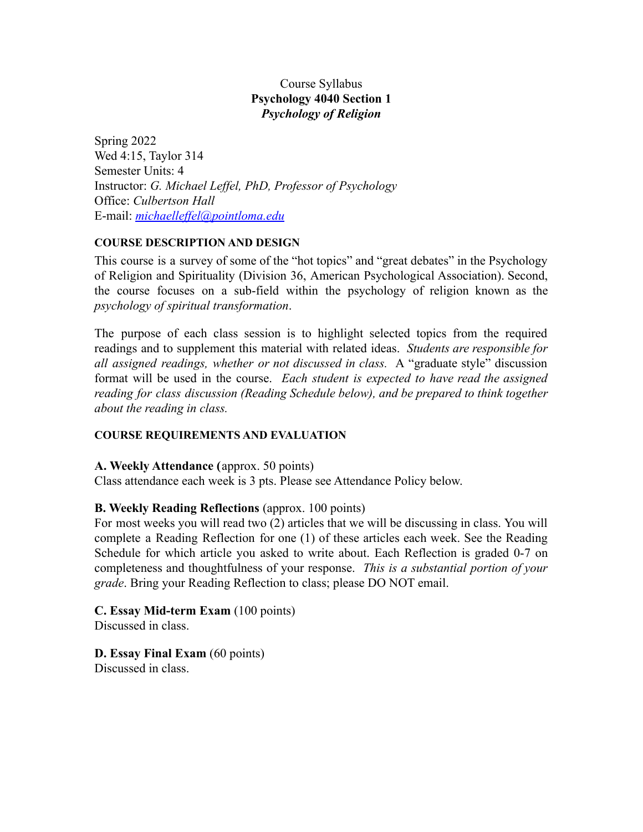# Course Syllabus **Psychology 4040 Section 1** *Psychology of Religion*

Spring 2022 Wed 4:15, Taylor 314 Semester Units: 4 Instructor: *G. Michael Leffel, PhD, Professor of Psychology* Office: *Culbertson Hall* E-mail: *[michaelleffel@pointloma.edu](mailto:michaelleffel@ptloma.edu)*

### **COURSE DESCRIPTION AND DESIGN**

This course is a survey of some of the "hot topics" and "great debates" in the Psychology of Religion and Spirituality (Division 36, American Psychological Association). Second, the course focuses on a sub-field within the psychology of religion known as the *psychology of spiritual transformation*.

The purpose of each class session is to highlight selected topics from the required readings and to supplement this material with related ideas. *Students are responsible for all assigned readings, whether or not discussed in class.* A "graduate style" discussion format will be used in the course. *Each student is expected to have read the assigned reading for class discussion (Reading Schedule below), and be prepared to think together about the reading in class.*

### **COURSE REQUIREMENTS AND EVALUATION**

### **A. Weekly Attendance (**approx. 50 points)

Class attendance each week is 3 pts. Please see Attendance Policy below.

## **B. Weekly Reading Reflections** (approx. 100 points)

For most weeks you will read two (2) articles that we will be discussing in class. You will complete a Reading Reflection for one (1) of these articles each week. See the Reading Schedule for which article you asked to write about. Each Reflection is graded 0-7 on completeness and thoughtfulness of your response. *This is a substantial portion of your grade*. Bring your Reading Reflection to class; please DO NOT email.

# **C. Essay Mid-term Exam** (100 points)

Discussed in class.

**D. Essay Final Exam** (60 points) Discussed in class.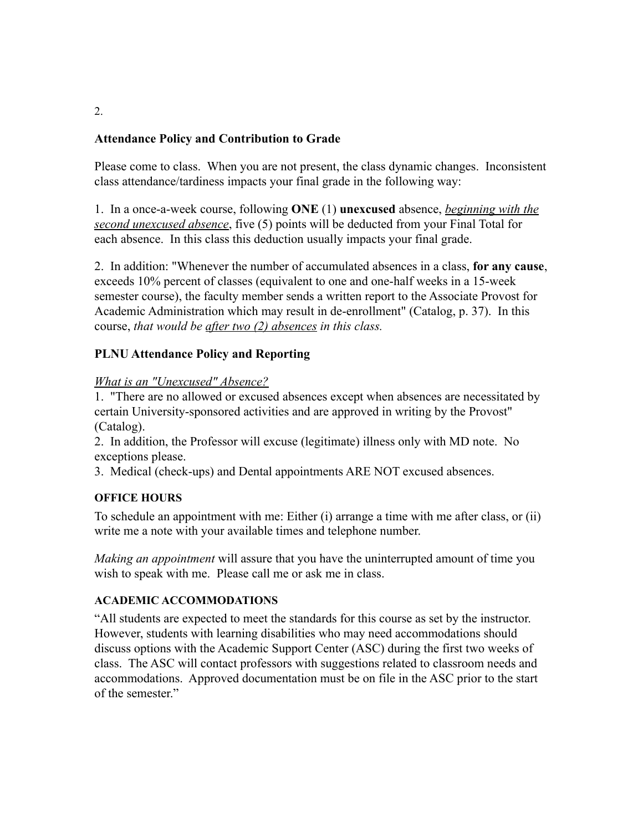# **Attendance Policy and Contribution to Grade**

Please come to class. When you are not present, the class dynamic changes. Inconsistent class attendance/tardiness impacts your final grade in the following way:

1. In a once-a-week course, following **ONE** (1) **unexcused** absence, *beginning with the second unexcused absence*, five (5) points will be deducted from your Final Total for each absence. In this class this deduction usually impacts your final grade.

2. In addition: "Whenever the number of accumulated absences in a class, **for any cause**, exceeds 10% percent of classes (equivalent to one and one-half weeks in a 15-week semester course), the faculty member sends a written report to the Associate Provost for Academic Administration which may result in de-enrollment" (Catalog, p. 37). In this course, *that would be after two (2) absences in this class.*

## **PLNU Attendance Policy and Reporting**

## *What is an "Unexcused" Absence?*

1. "There are no allowed or excused absences except when absences are necessitated by certain University-sponsored activities and are approved in writing by the Provost" (Catalog).

2. In addition, the Professor will excuse (legitimate) illness only with MD note. No exceptions please.

3. Medical (check-ups) and Dental appointments ARE NOT excused absences.

## **OFFICE HOURS**

To schedule an appointment with me: Either (i) arrange a time with me after class, or (ii) write me a note with your available times and telephone number.

*Making an appointment* will assure that you have the uninterrupted amount of time you wish to speak with me. Please call me or ask me in class.

## **ACADEMIC ACCOMMODATIONS**

"All students are expected to meet the standards for this course as set by the instructor. However, students with learning disabilities who may need accommodations should discuss options with the Academic Support Center (ASC) during the first two weeks of class. The ASC will contact professors with suggestions related to classroom needs and accommodations. Approved documentation must be on file in the ASC prior to the start of the semester."

2.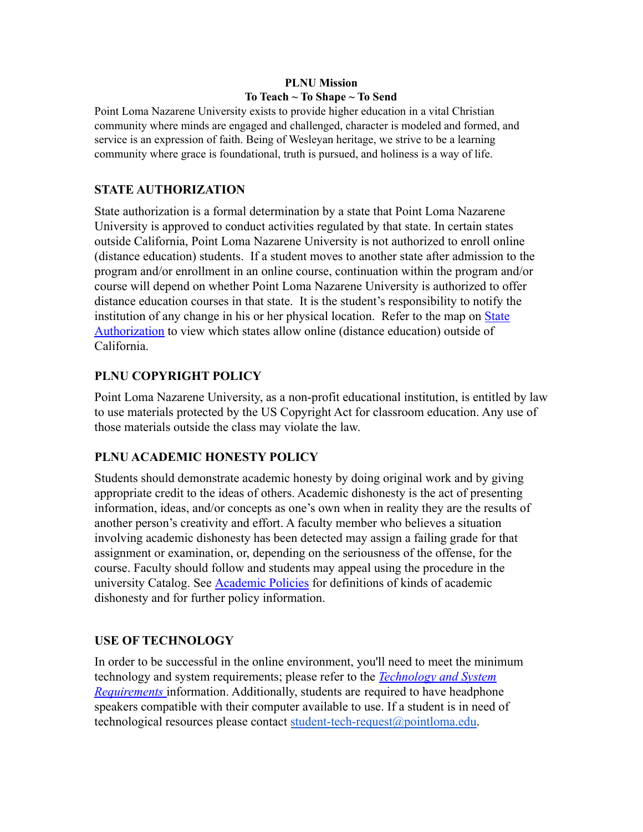# **PLNU Mission To Teach ~ To Shape ~ To Send**

Point Loma Nazarene University exists to provide higher education in a vital Christian community where minds are engaged and challenged, character is modeled and formed, and service is an expression of faith. Being of Wesleyan heritage, we strive to be a learning community where grace is foundational, truth is pursued, and holiness is a way of life.

# **STATE AUTHORIZATION**

State authorization is a formal determination by a state that Point Loma Nazarene University is approved to conduct activities regulated by that state. In certain states outside California, Point Loma Nazarene University is not authorized to enroll online (distance education) students. If a student moves to another state after admission to the program and/or enrollment in an online course, continuation within the program and/or course will depend on whether Point Loma Nazarene University is authorized to offer distance education courses in that state. It is the student's responsibility to notify the institution of any change in his or her physical location. Refer to the map on [State](https://www.pointloma.edu/offices/office-institutional-effectiveness-research/disclosures) [Authorization](https://www.pointloma.edu/offices/office-institutional-effectiveness-research/disclosures) to view which states allow online (distance education) outside of California.

# **PLNU COPYRIGHT POLICY**

Point Loma Nazarene University, as a non-profit educational institution, is entitled by law to use materials protected by the US Copyright Act for classroom education. Any use of those materials outside the class may violate the law.

# **PLNU ACADEMIC HONESTY POLICY**

Students should demonstrate academic honesty by doing original work and by giving appropriate credit to the ideas of others. Academic dishonesty is the act of presenting information, ideas, and/or concepts as one's own when in reality they are the results of another person's creativity and effort. A faculty member who believes a situation involving academic dishonesty has been detected may assign a failing grade for that assignment or examination, or, depending on the seriousness of the offense, for the course. Faculty should follow and students may appeal using the procedure in the university Catalog. See [Academic Policies](https://catalog.pointloma.edu/content.php?catoid=41&navoid=2435#Academic_Honesty) for definitions of kinds of academic dishonesty and for further policy information.

# **USE OF TECHNOLOGY**

In order to be successful in the online environment, you'll need to meet the minimum technology and system requirements; please refer to the *[Technology and System](https://help.pointloma.edu/TDClient/1808/Portal/KB/ArticleDet?ID=108349) [Requirements](https://help.pointloma.edu/TDClient/1808/Portal/KB/ArticleDet?ID=108349)* information. Additionally, students are required to have headphone speakers compatible with their computer available to use. If a student is in need of technological resources please contact [student-tech-request@pointloma.edu.](mailto:student-tech-request@pointloma.edu)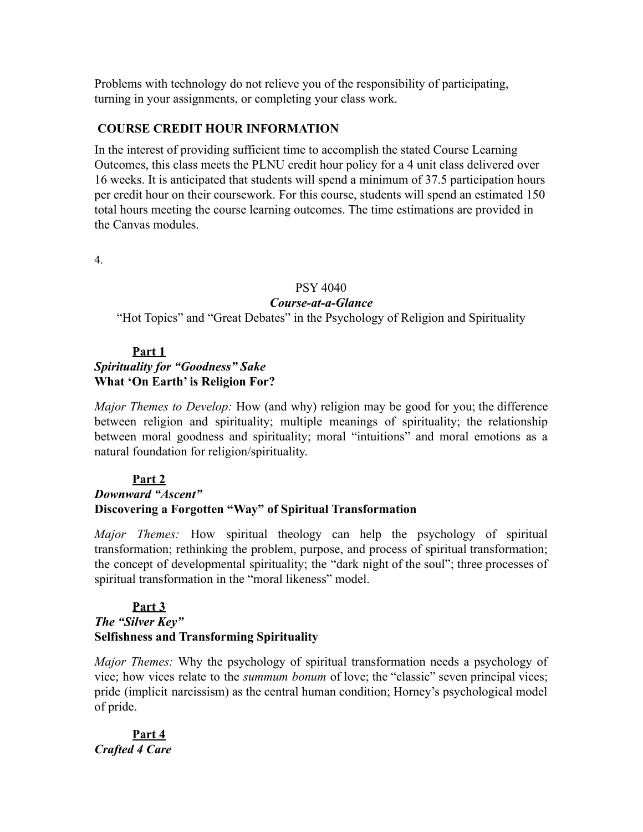Problems with technology do not relieve you of the responsibility of participating, turning in your assignments, or completing your class work.

## **COURSE CREDIT HOUR INFORMATION**

In the interest of providing sufficient time to accomplish the stated Course Learning Outcomes, this class meets the PLNU credit hour policy for a 4 unit class delivered over 16 weeks. It is anticipated that students will spend a minimum of 37.5 participation hours per credit hour on their coursework. For this course, students will spend an estimated 150 total hours meeting the course learning outcomes. The time estimations are provided in the Canvas modules.

4.

#### PSY 4040

### *Course-at-a-Glance*

"Hot Topics" and "Great Debates" in the Psychology of Religion and Spirituality

### **Part 1**

# *Spirituality for "Goodness" Sake* **What 'On Earth' is Religion For?**

*Major Themes to Develop:* How (and why) religion may be good for you; the difference between religion and spirituality; multiple meanings of spirituality; the relationship between moral goodness and spirituality; moral "intuitions" and moral emotions as a natural foundation for religion/spirituality.

### **Part 2**

# *Downward "Ascent"* **Discovering a Forgotten "Way" of Spiritual Transformation**

*Major Themes:* How spiritual theology can help the psychology of spiritual transformation; rethinking the problem, purpose, and process of spiritual transformation; the concept of developmental spirituality; the "dark night of the soul"; three processes of spiritual transformation in the "moral likeness" model.

## **Part 3** *The "Silver Key"* **Selfishness and Transforming Spirituality**

*Major Themes:* Why the psychology of spiritual transformation needs a psychology of vice; how vices relate to the *summum bonum* of love; the "classic" seven principal vices; pride (implicit narcissism) as the central human condition; Horney's psychological model of pride.

# **Part 4** *Crafted 4 Care*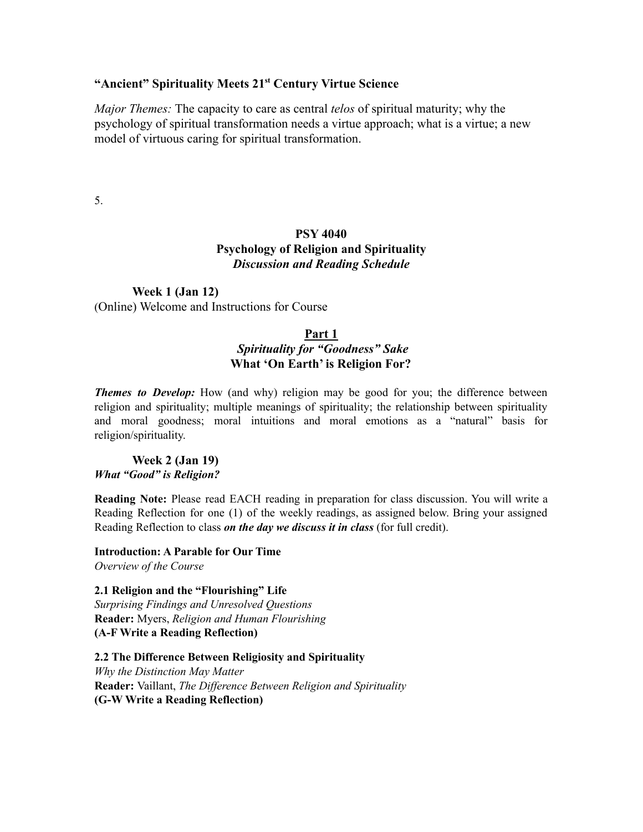## **"Ancient" Spirituality Meets 21st Century Virtue Science**

*Major Themes:* The capacity to care as central *telos* of spiritual maturity; why the psychology of spiritual transformation needs a virtue approach; what is a virtue; a new model of virtuous caring for spiritual transformation.

5.

# **PSY 4040 Psychology of Religion and Spirituality** *Discussion and Reading Schedule*

# **Week 1 (Jan 12)**

(Online) Welcome and Instructions for Course

### **Part 1**

# *Spirituality for "Goodness" Sake* **What 'On Earth' is Religion For?**

*Themes to Develop:* How (and why) religion may be good for you; the difference between religion and spirituality; multiple meanings of spirituality; the relationship between spirituality and moral goodness; moral intuitions and moral emotions as a "natural" basis for religion/spirituality.

**Week 2 (Jan 19)** *What "Good" is Religion?*

**Reading Note:** Please read EACH reading in preparation for class discussion. You will write a Reading Reflection for one (1) of the weekly readings, as assigned below. Bring your assigned Reading Reflection to class *on the day we discuss it in class* (for full credit).

**Introduction: A Parable for Our Time** *Overview of the Course*

**2.1 Religion and the "Flourishing" Life** *Surprising Findings and Unresolved Questions* **Reader:** Myers, *Religion and Human Flourishing* **(A-F Write a Reading Reflection)**

**2.2 The Difference Between Religiosity and Spirituality** *Why the Distinction May Matter* **Reader:** Vaillant, *The Dif erence Between Religion and Spirituality* **(G-W Write a Reading Reflection)**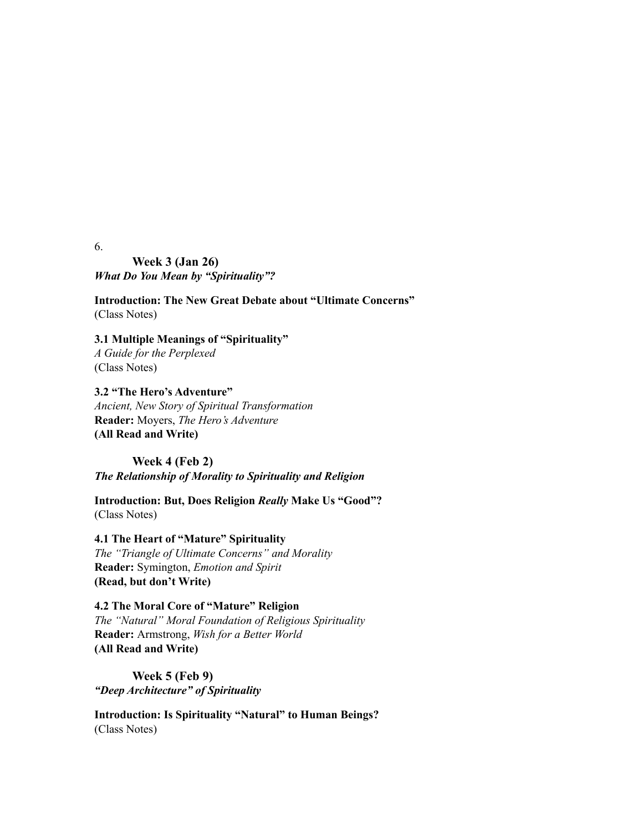6.

**Week 3 (Jan 26)** *What Do You Mean by "Spirituality"?*

**Introduction: The New Great Debate about "Ultimate Concerns"** (Class Notes)

**3.1 Multiple Meanings of "Spirituality"** *A Guide for the Perplexed* (Class Notes)

**3.2 "The Hero's Adventure"** *Ancient, New Story of Spiritual Transformation* **Reader:** Moyers, *The Hero's Adventure* **(All Read and Write)**

**Week 4 (Feb 2)** *The Relationship of Morality to Spirituality and Religion*

**Introduction: But, Does Religion** *Really* **Make Us "Good"?** (Class Notes)

**4.1 The Heart of "Mature" Spirituality** *The "Triangle of Ultimate Concerns" and Morality* **Reader:** Symington, *Emotion and Spirit* **(Read, but don't Write)**

**4.2 The Moral Core of "Mature" Religion** *The "Natural" Moral Foundation of Religious Spirituality* **Reader:** Armstrong, *Wish for a Better World* **(All Read and Write)**

**Week 5 (Feb 9)** *"Deep Architecture" of Spirituality*

**Introduction: Is Spirituality "Natural" to Human Beings?** (Class Notes)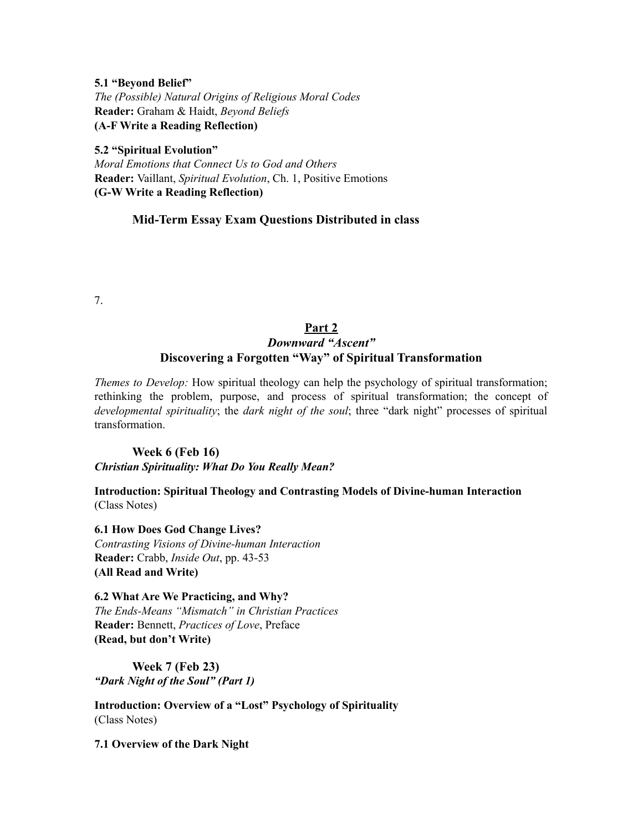**5.1 "Beyond Belief"** *The (Possible) Natural Origins of Religious Moral Codes* **Reader:** Graham & Haidt, *Beyond Beliefs* **(A-F Write a Reading Reflection)**

**5.2 "Spiritual Evolution"** *Moral Emotions that Connect Us to God and Others* **Reader:** Vaillant, *Spiritual Evolution*, Ch. 1, Positive Emotions **(G-W Write a Reading Reflection)**

### **Mid-Term Essay Exam Questions Distributed in class**

7.

### **Part 2** *Downward "Ascent"* **Discovering a Forgotten "Way" of Spiritual Transformation**

*Themes to Develop:* How spiritual theology can help the psychology of spiritual transformation; rethinking the problem, purpose, and process of spiritual transformation; the concept of *developmental spirituality*; the *dark night of the soul*; three "dark night" processes of spiritual transformation.

**Week 6 (Feb 16)** *Christian Spirituality: What Do You Really Mean?*

**Introduction: Spiritual Theology and Contrasting Models of Divine-human Interaction** (Class Notes)

**6.1 How Does God Change Lives?** *Contrasting Visions of Divine-human Interaction* **Reader:** Crabb, *Inside Out*, pp. 43-53 **(All Read and Write)**

**6.2 What Are We Practicing, and Why?** *The Ends-Means "Mismatch" in Christian Practices* **Reader:** Bennett, *Practices of Love*, Preface **(Read, but don't Write)**

**Week 7 (Feb 23)** *"Dark Night of the Soul" (Part 1)*

**Introduction: Overview of a "Lost" Psychology of Spirituality** (Class Notes)

**7.1 Overview of the Dark Night**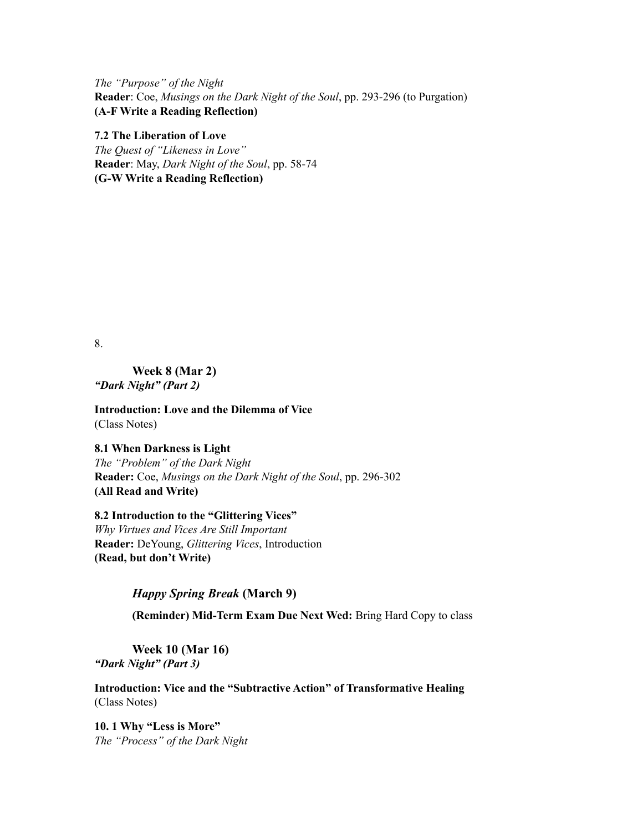*The "Purpose" of the Night* **Reader**: Coe, *Musings on the Dark Night of the Soul*, pp. 293-296 (to Purgation) **(A-F Write a Reading Reflection)**

**7.2 The Liberation of Love** *The Quest of "Likeness in Love"* **Reader**: May, *Dark Night of the Soul*, pp. 58-74 **(G-W Write a Reading Reflection)**

8.

**Week 8 (Mar 2)** *"Dark Night" (Part 2)*

**Introduction: Love and the Dilemma of Vice** (Class Notes)

**8.1 When Darkness is Light** *The "Problem" of the Dark Night* **Reader:** Coe, *Musings on the Dark Night of the Soul*, pp. 296-302 **(All Read and Write)**

**8.2 Introduction to the "Glittering Vices"** *Why Virtues and Vices Are Still Important* **Reader:** DeYoung, *Glittering Vices*, Introduction **(Read, but don't Write)**

### *Happy Spring Break* **(March 9)**

**(Reminder) Mid-Term Exam Due Next Wed:** Bring Hard Copy to class

**Week 10 (Mar 16)** *"Dark Night" (Part 3)*

**Introduction: Vice and the "Subtractive Action" of Transformative Healing** (Class Notes)

**10. 1 Why "Less is More"** *The "Process" of the Dark Night*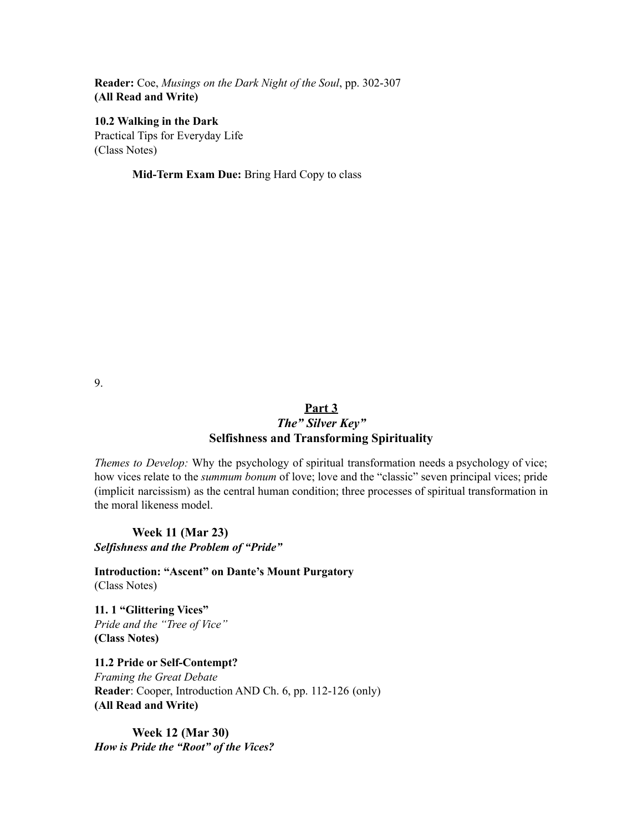**Reader:** Coe, *Musings on the Dark Night of the Soul*, pp. 302-307 **(All Read and Write)**

**10.2 Walking in the Dark** Practical Tips for Everyday Life (Class Notes)

**Mid-Term Exam Due:** Bring Hard Copy to class

9.

# **Part 3**

### *The" Silver Key"* **Selfishness and Transforming Spirituality**

*Themes to Develop:* Why the psychology of spiritual transformation needs a psychology of vice; how vices relate to the *summum bonum* of love; love and the "classic" seven principal vices; pride (implicit narcissism) as the central human condition; three processes of spiritual transformation in the moral likeness model.

**Week 11 (Mar 23)** *Selfishness and the Problem of "Pride"*

**Introduction: "Ascent" on Dante's Mount Purgatory** (Class Notes)

**11. 1 "Glittering Vices"** *Pride and the "Tree of Vice"* **(Class Notes)**

**11.2 Pride or Self-Contempt?** *Framing the Great Debate* **Reader**: Cooper, Introduction AND Ch. 6, pp. 112-126 (only) **(All Read and Write)**

**Week 12 (Mar 30)** *How is Pride the "Root" of the Vices?*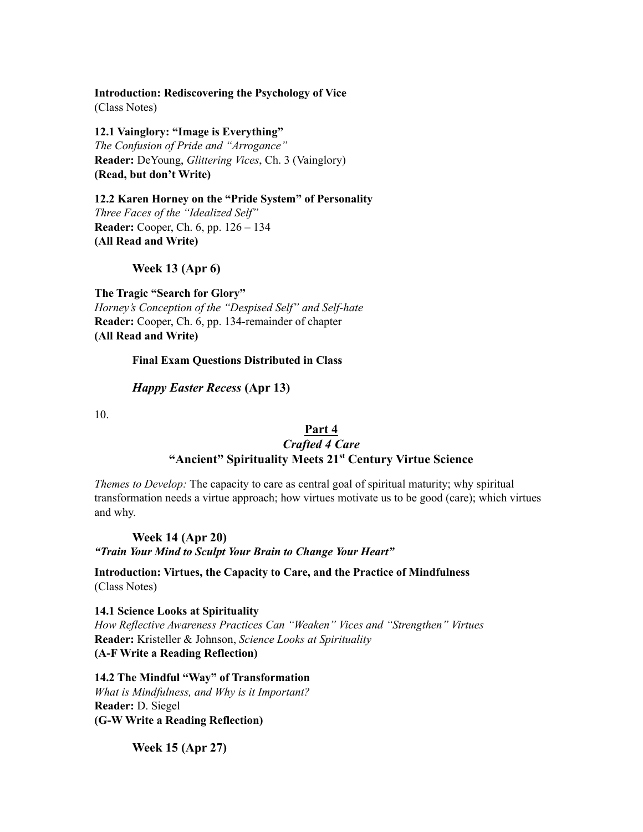**Introduction: Rediscovering the Psychology of Vice** (Class Notes)

**12.1 Vainglory: "Image is Everything"** *The Confusion of Pride and "Arrogance"* **Reader:** DeYoung, *Glittering Vices*, Ch. 3 (Vainglory) **(Read, but don't Write)**

**12.2 Karen Horney on the "Pride System" of Personality** *Three Faces of the "Idealized Self"* **Reader:** Cooper, Ch. 6, pp. 126 – 134 **(All Read and Write)**

#### **Week 13 (Apr 6)**

**The Tragic "Search for Glory"** *Horney's Conception of the "Despised Self" and Self-hate* **Reader:** Cooper, Ch. 6, pp. 134-remainder of chapter **(All Read and Write)**

#### **Final Exam Questions Distributed in Class**

#### *Happy Easter Recess* **(Apr 13)**

10.

#### **Part 4** *Crafted 4 Care* **"Ancient" Spirituality Meets 21st Century Virtue Science**

*Themes to Develop:* The capacity to care as central goal of spiritual maturity; why spiritual

transformation needs a virtue approach; how virtues motivate us to be good (care); which virtues and why.

**Week 14 (Apr 20)** *"Train Your Mind to Sculpt Your Brain to Change Your Heart"*

**Introduction: Virtues, the Capacity to Care, and the Practice of Mindfulness** (Class Notes)

**14.1 Science Looks at Spirituality** *How Reflective Awareness Practices Can "Weaken" Vices and "Strengthen" Virtues* **Reader:** Kristeller & Johnson, *Science Looks at Spirituality* **(A-F Write a Reading Reflection)**

**14.2 The Mindful "Way" of Transformation** *What is Mindfulness, and Why is it Important?* **Reader:** D. Siegel **(G-W Write a Reading Reflection)**

**Week 15 (Apr 27)**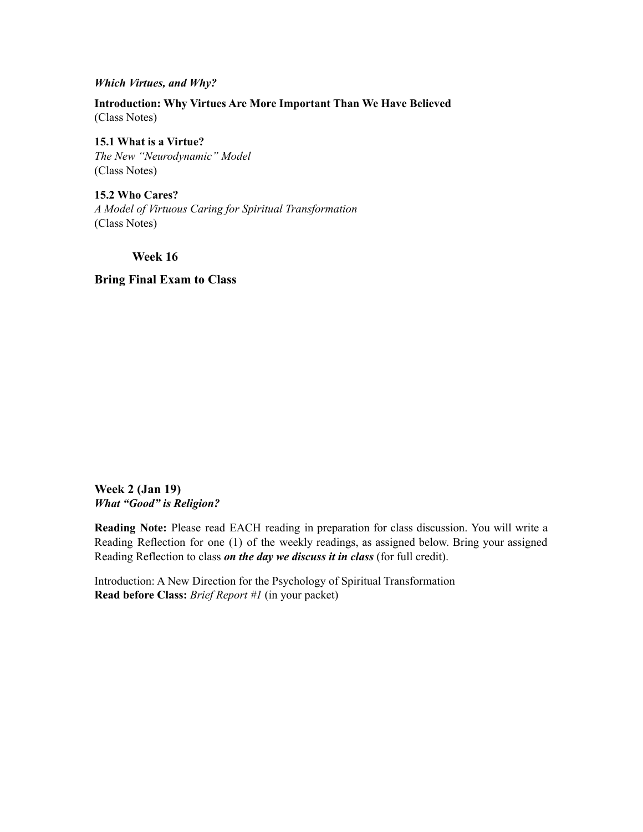#### *Which Virtues, and Why?*

**Introduction: Why Virtues Are More Important Than We Have Believed** (Class Notes)

**15.1 What is a Virtue?** *The New "Neurodynamic" Model* (Class Notes)

**15.2 Who Cares?** *A Model of Virtuous Caring for Spiritual Transformation* (Class Notes)

**Week 16**

**Bring Final Exam to Class**

**Week 2 (Jan 19)** *What "Good" is Religion?*

**Reading Note:** Please read EACH reading in preparation for class discussion. You will write a Reading Reflection for one (1) of the weekly readings, as assigned below. Bring your assigned Reading Reflection to class *on the day we discuss it in class* (for full credit).

Introduction: A New Direction for the Psychology of Spiritual Transformation **Read before Class:** *Brief Report #1* (in your packet)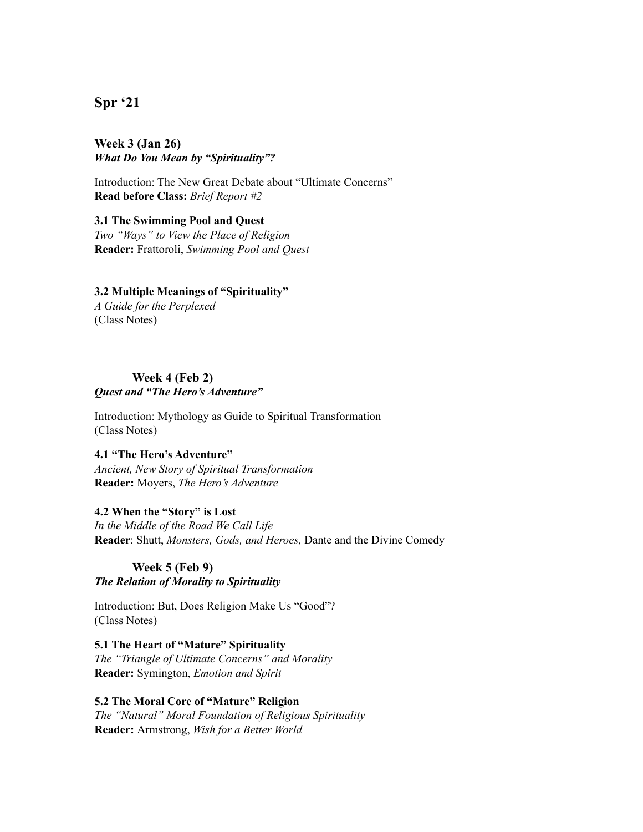# **Spr '21**

#### **Week 3 (Jan 26)** *What Do You Mean by "Spirituality"?*

Introduction: The New Great Debate about "Ultimate Concerns" **Read before Class:** *Brief Report #2*

#### **3.1 The Swimming Pool and Quest**

*Two "Ways" to View the Place of Religion* **Reader:** Frattoroli, *Swimming Pool and Quest*

#### **3.2 Multiple Meanings of "Spirituality"**

*A Guide for the Perplexed* (Class Notes)

#### **Week 4 (Feb 2)** *Quest and "The Hero's Adventure"*

Introduction: Mythology as Guide to Spiritual Transformation (Class Notes)

#### **4.1 "The Hero's Adventure"**

*Ancient, New Story of Spiritual Transformation* **Reader:** Moyers, *The Hero's Adventure*

### **4.2 When the "Story" is Lost**

*In the Middle of the Road We Call Life* **Reader**: Shutt, *Monsters, Gods, and Heroes,* Dante and the Divine Comedy

# **Week 5 (Feb 9)**

### *The Relation of Morality to Spirituality*

Introduction: But, Does Religion Make Us "Good"? (Class Notes)

#### **5.1 The Heart of "Mature" Spirituality** *The "Triangle of Ultimate Concerns" and Morality* **Reader:** Symington, *Emotion and Spirit*

### **5.2 The Moral Core of "Mature" Religion**

*The "Natural" Moral Foundation of Religious Spirituality* **Reader:** Armstrong, *Wish for a Better World*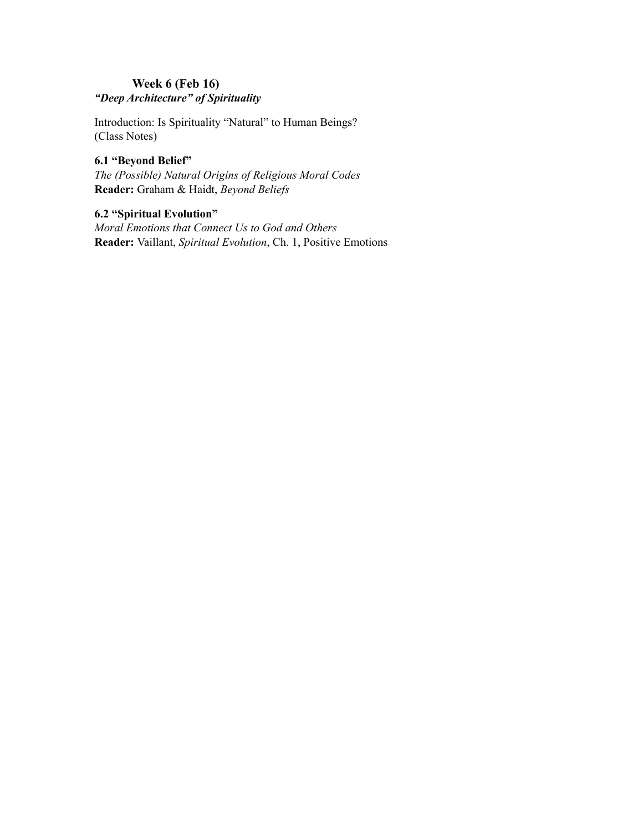## **Week 6 (Feb 16)** *"Deep Architecture" of Spirituality*

Introduction: Is Spirituality "Natural" to Human Beings? (Class Notes)

#### **6.1 "Beyond Belief"**

*The (Possible) Natural Origins of Religious Moral Codes* **Reader:** Graham & Haidt, *Beyond Beliefs*

# **6.2 "Spiritual Evolution"**

*Moral Emotions that Connect Us to God and Others* **Reader:** Vaillant, *Spiritual Evolution*, Ch. 1, Positive Emotions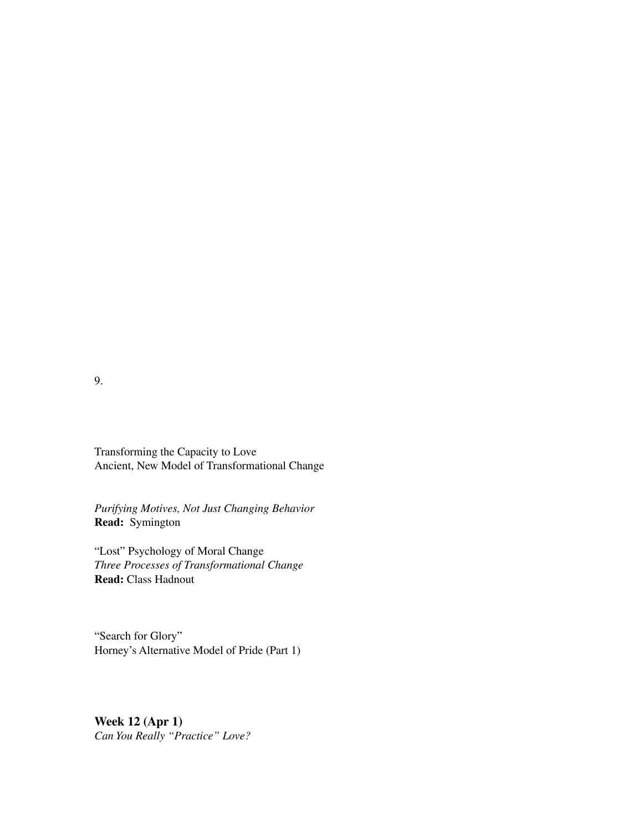9.

Transforming the Capacity to Love Ancient, New Model of Transformational Change

*Purifying Motives, Not Just Changing Behavior* **Read:** Symington

"Lost" Psychology of Moral Change *Three Processes of Transformational Change* **Read:** Class Hadnout

"Search for Glory" Horney's Alternative Model of Pride (Part 1)

**Week 12 (Apr 1)** *Can You Really "Practice" Love?*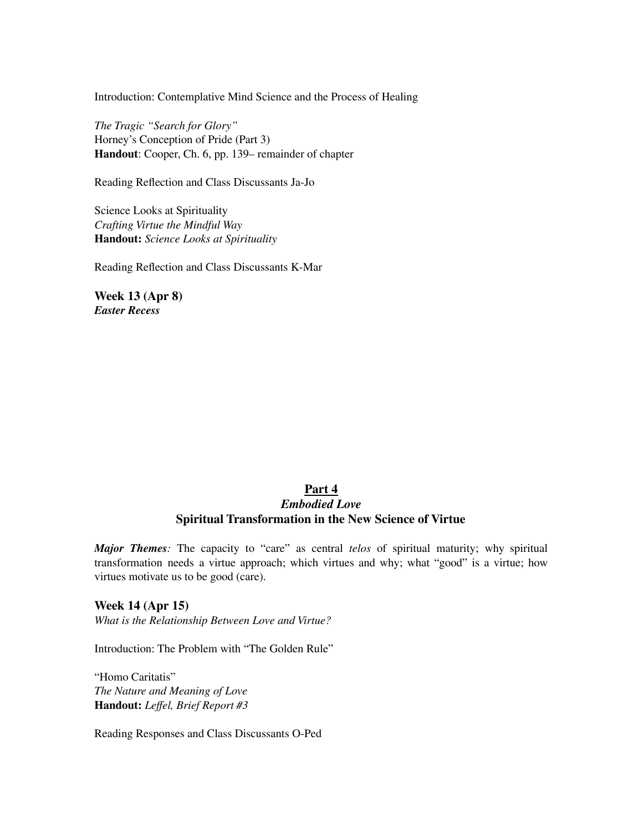Introduction: Contemplative Mind Science and the Process of Healing

*The Tragic "Search for Glory"* Horney's Conception of Pride (Part 3) **Handout**: Cooper, Ch. 6, pp. 139– remainder of chapter

Reading Reflection and Class Discussants Ja-Jo

Science Looks at Spirituality *Crafting Virtue the Mindful Way* **Handout:** *Science Looks at Spirituality*

Reading Reflection and Class Discussants K-Mar

**Week 13 (Apr 8)** *Easter Recess*

### **Part 4** *Embodied Love* **Spiritual Transformation in the New Science of Virtue**

*Major Themes:* The capacity to "care" as central *telos* of spiritual maturity; why spiritual transformation needs a virtue approach; which virtues and why; what "good" is a virtue; how virtues motivate us to be good (care).

**Week 14 (Apr 15)** *What is the Relationship Between Love and Virtue?*

Introduction: The Problem with "The Golden Rule"

"Homo Caritatis" *The Nature and Meaning of Love* **Handout:** *Leffel, Brief Report #3*

Reading Responses and Class Discussants O-Ped